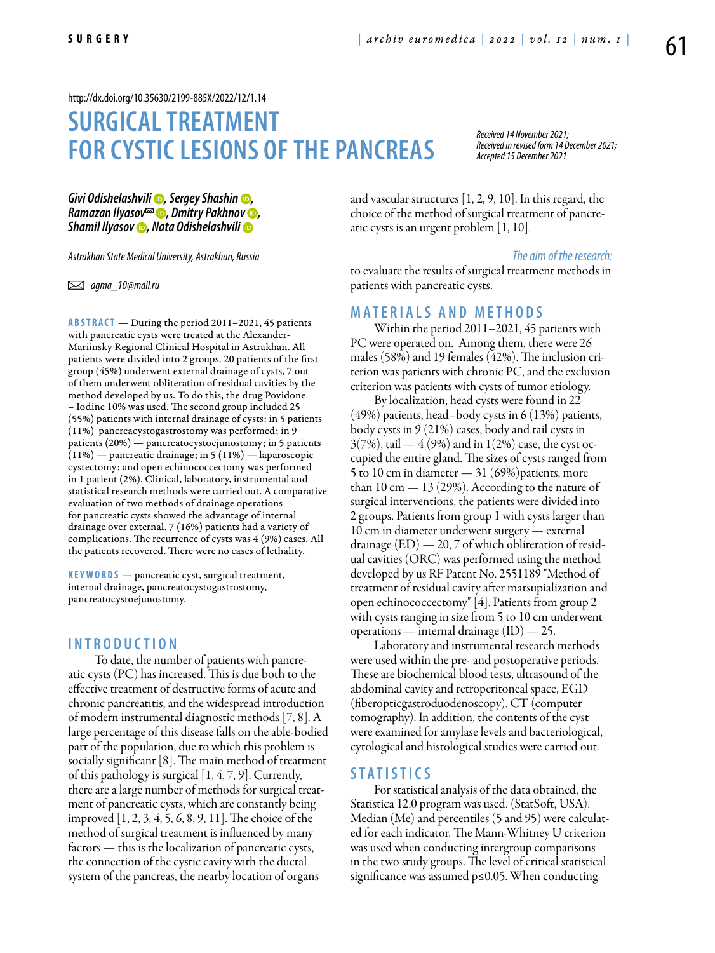#### <http://dx.doi.org/10.35630/2199-885X/2022/12/1.14>

# **Surgical treatment for cystic lesions of the pancreas**

*Received 14 November 2021; Received in revised form 14 December 2021; Accepted 15 December 2021*

*[Givi Odishelashvili](https://orcid.org/0000-0002-4303-3764) , [Sergey Shashin](https://orcid.org/0000-0003-1296-2031) , [Ramazan Ilyasov](https://orcid.org/0000-0003-3627-4081) , [Dmitry Pakhnov](https://orcid.org/0000-0002-7803-8661) , [Shamil Ilyasov](https://orcid.org/0000-0002-9946-6550) , [Nata Odishelashvili](https://orcid.org/0000-0001-7072-7887)*

*Astrakhan State Medical University, Astrakhan, Russia*

 *agma\_10@mail.ru* 

ABSTRACT — During the period 2011-2021, 45 patients with pancreatic cysts were treated at the Alexander-Mariinsky Regional Clinical Hospital in Astrakhan. All patients were divided into 2 groups. 20 patients of the first group (45%) underwent external drainage of cysts, 7 out of them underwent obliteration of residual cavities by the method developed by us. To do this, the drug Povidone – Iodine 10% was used. The second group included 25 (55%) patients with internal drainage of cysts: in 5 patients (11%) pancreacystogastrostomy was performed; in 9 patients (20%) — pancreatocystoejunostomy; in 5 patients (11%) — pancreatic drainage; in 5 (11%) — laparoscopic cystectomy; and open echinococcectomy was performed in 1 patient (2%). Clinical, laboratory, instrumental and statistical research methods were carried out. A comparative evaluation of two methods of drainage operations for pancreatic cysts showed the advantage of internal drainage over external. 7 (16%) patients had a variety of complications. The recurrence of cysts was 4 (9%) cases. All the patients recovered. There were no cases of lethality.

KEYWORDS — pancreatic cyst, surgical treatment, internal drainage, pancreatocystogastrostomy, pancreatocystoejunostomy.

## **I n t r o d u ct i o n**

 To date, the number of patients with pancreatic cysts (PC) has increased. This is due both to the effective treatment of destructive forms of acute and chronic pancreatitis, and the widespread introduction of modern instrumental diagnostic methods [7, 8]. A large percentage of this disease falls on the able-bodied part of the population, due to which this problem is socially significant [8]. The main method of treatment of this pathology is surgical [1, 4, 7, 9]. Currently, there are a large number of methods for surgical treatment of pancreatic cysts, which are constantly being improved [1, 2, 3, 4, 5, 6, 8, 9, 11]. The choice of the method of surgical treatment is influenced by many factors — this is the localization of pancreatic cysts, the connection of the cystic cavity with the ductal system of the pancreas, the nearby location of organs

and vascular structures [1, 2, 9, 10]. In this regard, the choice of the method of surgical treatment of pancreatic cysts is an urgent problem [1, 10].

#### *The aim of the research:*

to evaluate the results of surgical treatment methods in patients with pancreatic cysts.

#### **MATERIALS AND METHODS**

Within the period 2011–2021, 45 patients with PC were operated on. Among them, there were 26 males (58%) and 19 females (42%). The inclusion criterion was patients with chronic PC, and the exclusion criterion was patients with cysts of tumor etiology.

By localization, head cysts were found in 22  $(49\%)$  patients, head–body cysts in 6 (13%) patients, body cysts in 9 (21%) cases, body and tail cysts in  $3(7%)$ , tail — 4 (9%) and in 1(2%) case, the cyst occupied the entire gland. The sizes of cysts ranged from 5 to 10 cm in diameter  $-31(69%)$  patients, more than 10 cm  $-$  13 (29%). According to the nature of surgical interventions, the patients were divided into 2 groups. Patients from group 1 with cysts larger than 10 cm in diameter underwent surgery — external drainage (ED) — 20, 7 of which obliteration of residual cavities (ORC) was performed using the method developed by us RF Patent No. 2551189 "Method of treatment of residual cavity after marsupialization and open echinococcectomy" [4]. Patients from group 2 with cysts ranging in size from 5 to 10 cm underwent operations — internal drainage  $(ID) = 25$ .

Laboratory and instrumental research methods were used within the pre- and postoperative periods. These are biochemical blood tests, ultrasound of the abdominal cavity and retroperitoneal space, EGD (fiberopticgastroduodenoscopy), CT (computer tomography). In addition, the contents of the cyst were examined for amylase levels and bacteriological, cytological and histological studies were carried out.

#### **St a t i s t ics**

For statistical analysis of the data obtained, the Statistica 12.0 program was used. (StatSoft, USA). Median (Me) and percentiles (5 and 95) were calculated for each indicator. The Mann-Whitney U criterion was used when conducting intergroup comparisons in the two study groups. The level of critical statistical significance was assumed p≤0.05. When conducting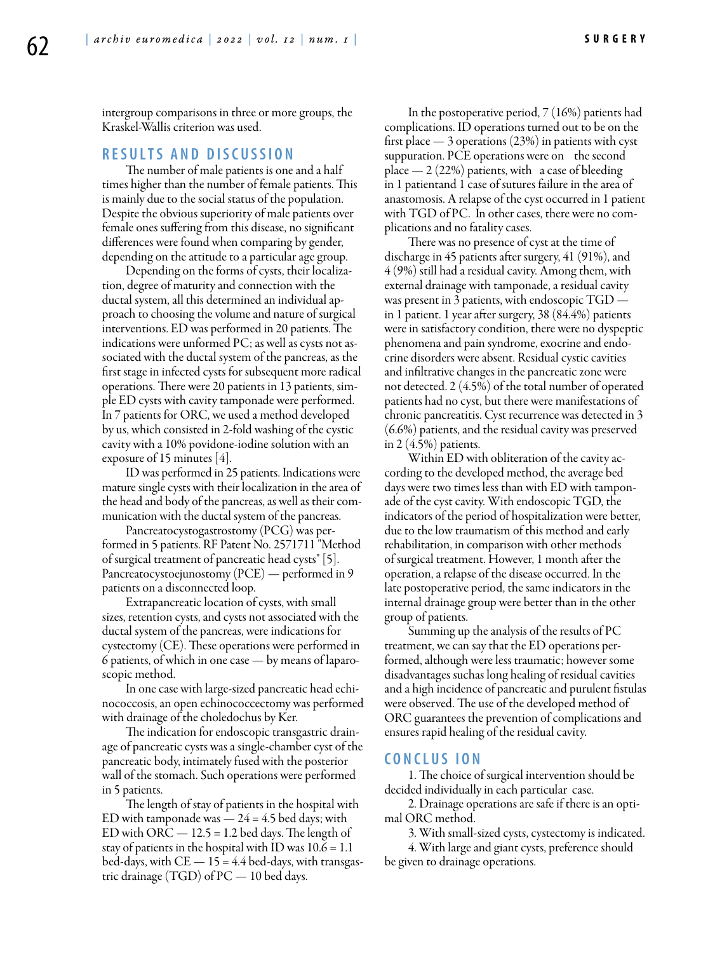**S u r g e r y**

intergroup comparisons in three or more groups, the Kraskel-Wallis criterion was used.

## **R e s u l t s a n d D i sc u s s i o n**

The number of male patients is one and a half times higher than the number of female patients. This is mainly due to the social status of the population. Despite the obvious superiority of male patients over female ones suffering from this disease, no significant differences were found when comparing by gender, depending on the attitude to a particular age group.

Depending on the forms of cysts, their localization, degree of maturity and connection with the ductal system, all this determined an individual approach to choosing the volume and nature of surgical interventions. ED was performed in 20 patients. The indications were unformed PC; as well as cysts not associated with the ductal system of the pancreas, as the first stage in infected cysts for subsequent more radical operations. There were 20 patients in 13 patients, simple ED cysts with cavity tamponade were performed. In 7 patients for ORC, we used a method developed by us, which consisted in 2-fold washing of the cystic cavity with a 10% povidone-iodine solution with an exposure of 15 minutes [4].

ID was performed in 25 patients. Indications were mature single cysts with their localization in the area of the head and body of the pancreas, as well as their communication with the ductal system of the pancreas.

Pancreatocystogastrostomy (PCG) was performed in 5 patients. RF Patent No. 2571711 "Method of surgical treatment of pancreatic head cysts" [5]. Pancreatocystoejunostomy (PCE) — performed in 9 patients on a disconnected loop.

Extrapancreatic location of cysts, with small sizes, retention cysts, and cysts not associated with the ductal system of the pancreas, were indications for cystectomy (CE). These operations were performed in 6 patients, of which in one case — by means of laparoscopic method.

In one case with large-sized pancreatic head echinococcosis, an open echinococcectomy was performed with drainage of the choledochus by Ker.

The indication for endoscopic transgastric drainage of pancreatic cysts was a single-chamber cyst of the pancreatic body, intimately fused with the posterior wall of the stomach. Such operations were performed in 5 patients.

The length of stay of patients in the hospital with ED with tamponade was  $-24 = 4.5$  bed days; with ED with ORC  $- 12.5 = 1.2$  bed days. The length of stay of patients in the hospital with ID was  $10.6 = 1.1$ bed-days, with  $CE = 15 = 4.4$  bed-days, with transgastric drainage (TGD) of PC — 10 bed days.

In the postoperative period, 7 (16%) patients had complications. ID operations turned out to be on the first place — 3 operations (23%) in patients with cyst suppuration. PCE operations were on the second place  $-2(22%)$  patients, with a case of bleeding in 1 patientand 1 case of sutures failure in the area of anastomosis. A relapse of the cyst occurred in 1 patient with TGD of PC. In other cases, there were no complications and no fatality cases.

There was no presence of cyst at the time of discharge in 45 patients after surgery, 41 (91%), and 4 (9%) still had a residual cavity. Among them, with external drainage with tamponade, a residual cavity was present in 3 patients, with endoscopic TGD in 1 patient. 1 year after surgery, 38 (84.4%) patients were in satisfactory condition, there were no dyspeptic phenomena and pain syndrome, exocrine and endocrine disorders were absent. Residual cystic cavities and infiltrative changes in the pancreatic zone were not detected. 2 (4.5%) of the total number of operated patients had no cyst, but there were manifestations of chronic pancreatitis. Cyst recurrence was detected in 3 (6.6%) patients, and the residual cavity was preserved in 2 (4.5%) patients.

Within ED with obliteration of the cavity according to the developed method, the average bed days were two times less than with ED with tamponade of the cyst cavity. With endoscopic TGD, the indicators of the period of hospitalization were better, due to the low traumatism of this method and early rehabilitation, in comparison with other methods of surgical treatment. However, 1 month after the operation, a relapse of the disease occurred. In the late postoperative period, the same indicators in the internal drainage group were better than in the other group of patients.

Summing up the analysis of the results of PC treatment, we can say that the ED operations performed, although were less traumatic; however some disadvantages suchas long healing of residual cavities and a high incidence of pancreatic and purulent fistulas were observed. The use of the developed method of ORC guarantees the prevention of complications and ensures rapid healing of the residual cavity.

# **C o n cl u s i o n**

1. The choice of surgical intervention should be decided individually in each particular case.

2. Drainage operations are safe if there is an optimal ORC method.

3. With small-sized cysts, cystectomy is indicated. 4. With large and giant cysts, preference should

be given to drainage operations.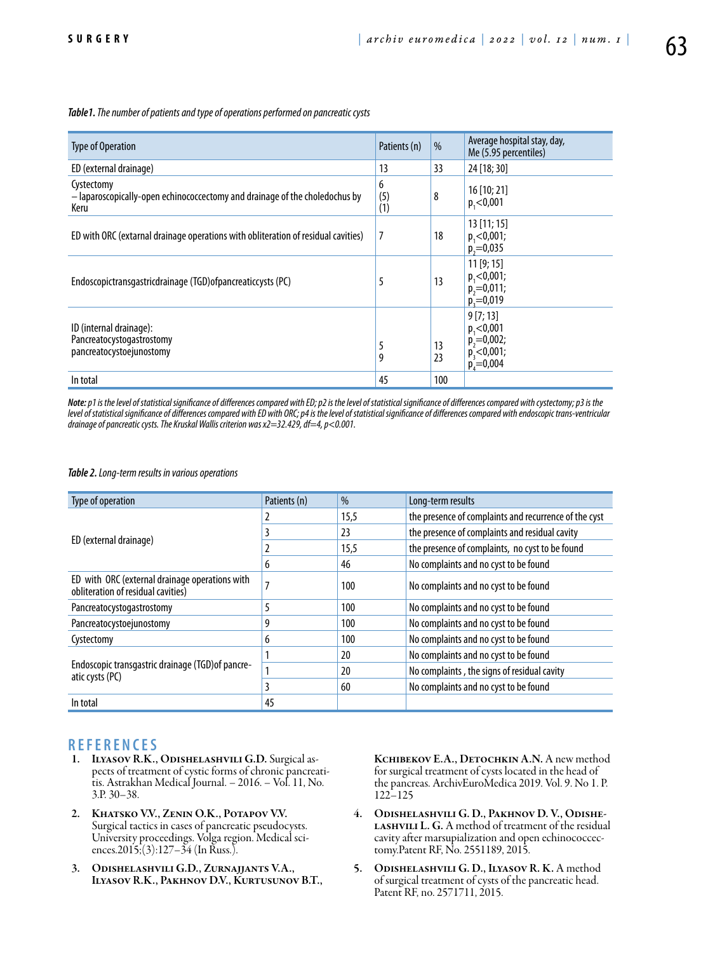*Table1. The number of patients and type of operations performed on pancreatic cysts*

| <b>Type of Operation</b>                                                                          | Patients (n)    | %        | Average hospital stay, day,<br>Me (5.95 percentiles)                        |
|---------------------------------------------------------------------------------------------------|-----------------|----------|-----------------------------------------------------------------------------|
| ED (external drainage)                                                                            | 13              | 33       | 24 [18; 30]                                                                 |
| Cystectomy<br>- laparoscopically-open echinococcectomy and drainage of the choledochus by<br>Keru | 6<br>(5)<br>(1) | 8        | 16 [10; 21]<br>p, < 0,001                                                   |
| ED with ORC (extarnal drainage operations with obliteration of residual cavities)                 | 7               | 18       | $13$ [11; 15]<br>p, 0.001;<br>$p_1 = 0.035$                                 |
| Endoscopictransgastricdrainage (TGD) of pancreaticcysts (PC)                                      | 5               | 13       | 11[9;15]<br>$p_1 < 0,001;$<br>$p_2 = 0,011;$<br>$p_3 = 0.019$               |
| ID (internal drainage):<br>Pancreatocystogastrostomy<br>pancreatocystoejunostomy                  | 5<br>9          | 13<br>23 | 9[7; 13]<br>p, 0.001<br>$p_2 = 0.002$ ;<br>$p_3^2$ <0,001;<br>$p_4 = 0.004$ |
| In total                                                                                          | 45              | 100      |                                                                             |

*Note: p1 is the level of statistical significance of differences compared with ED; p2 is the level of statistical significance of differences compared with cystectomy; p3 is the level of statistical significance of differences compared with ED with ORC; p4 is the level of statistical significance of differences compared with endoscopic trans-ventricular drainage of pancreatic cysts. The Kruskal Wallis criterion was x2=32.429, df=4, p<0.001.*

*Table 2. Long-term results in various operations*

| Type of operation                                                                    | Patients (n)   | $\%$ | Long-term results                                     |  |
|--------------------------------------------------------------------------------------|----------------|------|-------------------------------------------------------|--|
| ED (external drainage)                                                               |                | 15,5 | the presence of complaints and recurrence of the cyst |  |
|                                                                                      |                | 23   | the presence of complaints and residual cavity        |  |
|                                                                                      |                | 15,5 | the presence of complaints, no cyst to be found       |  |
|                                                                                      | 6              | 46   | No complaints and no cyst to be found                 |  |
| ED with ORC (external drainage operations with<br>obliteration of residual cavities) | $\overline{ }$ | 100  | No complaints and no cyst to be found                 |  |
| Pancreatocystogastrostomy                                                            | 5              | 100  | No complaints and no cyst to be found                 |  |
| Pancreatocystoejunostomy                                                             | 9              | 100  | No complaints and no cyst to be found                 |  |
| Cystectomy                                                                           | 6              | 100  | No complaints and no cyst to be found                 |  |
| Endoscopic transgastric drainage (TGD) of pancre-<br>atic cysts (PC)                 |                | 20   | No complaints and no cyst to be found                 |  |
|                                                                                      |                | 20   | No complaints, the signs of residual cavity           |  |
|                                                                                      | 3              | 60   | No complaints and no cyst to be found                 |  |
| In total                                                                             | 45             |      |                                                       |  |

- **R E F E R E N C E S**<br>1. **ILYASOV R.K., ODISHELASHVILI G.D.** Surgical aspects of treatment of cystic forms of chronic pancreati-<br>tis. Astrakhan Medical Journal. – 2016. – Vol. 11, No. 3.P. 30–38.
- 2. Khatsko V.V., Zenin O.K., Potapov V.V. Surgical tactics in cases of pancreatic pseudocysts. University proceedings. Volga region. Medical sciences.2015;(3):127–34 (In Russ.).
- 3. Odishelashvili G.D., Zurnajjants V.A., Ilyasov R.K., Pakhnov D.V., Kurtusunov B.T.,

Kchibekov E.A., Detochkin A.N. A new method for surgical treatment of cysts located in the head of the pancreas. ArchivEuroMedica 2019. Vol. 9. No 1. P. 122–125

- 4. Odishelashvili G. D., Pakhnov D. V., Odishe-LASHVILI L. G. A method of treatment of the residual cavity after marsupialization and open echinococcectomy.Patent RF, No. 2551189, 2015.
- 5. ODISHELASHVILI G. D., ILYASOV R. K. A method of surgical treatment of cysts of the pancreatic head. Patent RF, no. 2571711, 2015.